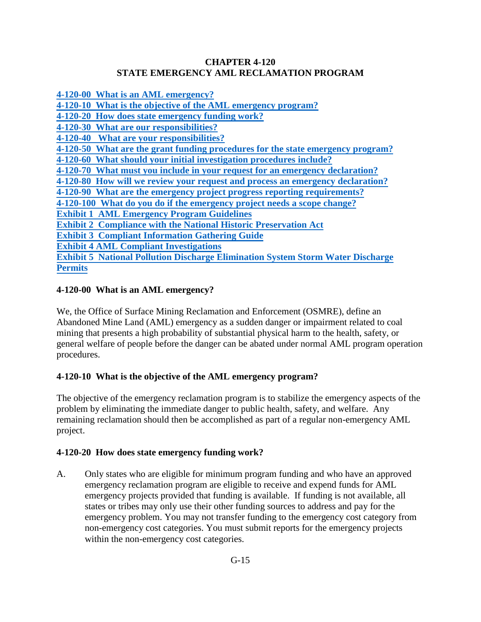### **CHAPTER 4-120 STATE EMERGENCY AML RECLAMATION PROGRAM**

**[4-120-00 What is an AML emergency?](#page-0-0) [4-120-10 What is the objective of the AML emergency program?](#page-0-1) [4-120-20 How does state emergency funding work?](#page-0-2) [4-120-30 What are our responsibilities?](#page-1-0) [4-120-40 What are your responsibilities?](#page-2-0) [4-120-50 What are the grant funding procedures for the state emergency program?](#page-2-1) [4-120-60 What should your initial investigation procedures include?](#page-3-0) 4-120-70 [What must you include in your request for an emergency declaration?](#page-3-1) [4-120-80 How will we review your request and process an emergency declaration?](#page-3-1) [4-120-90 What are the emergency project progress reporting requirements?](#page-7-0) [4-120-100 What do you do if the emergency project needs a scope change?](#page-7-1) [Exhibit 1 AML Emergency Program Guidelines](#page-8-0) [Exhibit 2 Compliance with the National Historic Preservation Act](#page-11-0) [Exhibit 3 Compliant Information Gathering Guide](#page-14-0) [Exhibit 4 AML Compliant Investigations](#page-15-0) [Exhibit 5 National Pollution Discharge Elimination System Storm Water Discharge](#page-19-0) [Permits](#page-19-0)**

# <span id="page-0-0"></span>**4-120-00 What is an AML emergency?**

We, the Office of Surface Mining Reclamation and Enforcement (OSMRE), define an Abandoned Mine Land (AML) emergency as a sudden danger or impairment related to coal mining that presents a high probability of substantial physical harm to the health, safety, or general welfare of people before the danger can be abated under normal AML program operation procedures.

### <span id="page-0-1"></span>**4-120-10 What is the objective of the AML emergency program?**

The objective of the emergency reclamation program is to stabilize the emergency aspects of the problem by eliminating the immediate danger to public health, safety, and welfare. Any remaining reclamation should then be accomplished as part of a regular non-emergency AML project.

### <span id="page-0-2"></span>**4-120-20 How does state emergency funding work?**

A. Only states who are eligible for minimum program funding and who have an approved emergency reclamation program are eligible to receive and expend funds for AML emergency projects provided that funding is available. If funding is not available, all states or tribes may only use their other funding sources to address and pay for the emergency problem. You may not transfer funding to the emergency cost category from non-emergency cost categories. You must submit reports for the emergency projects within the non-emergency cost categories.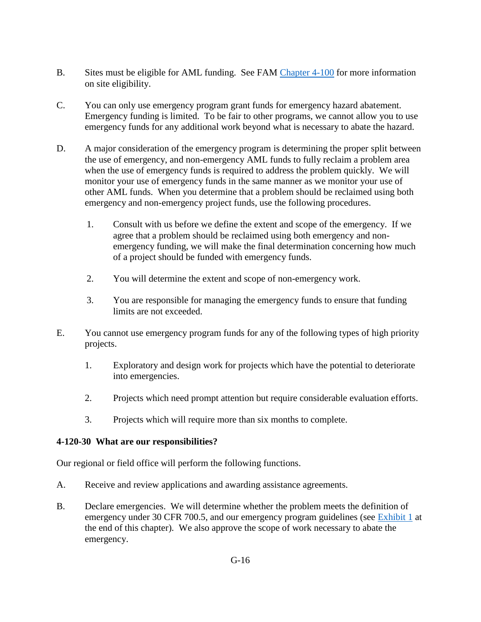- B. Sites must be eligible for AML funding. See FAM [Chapter 4-100](https://www.osmre.gov/lrg/fam/4-100.pdf) for more information on site eligibility.
- C. You can only use emergency program grant funds for emergency hazard abatement. Emergency funding is limited. To be fair to other programs, we cannot allow you to use emergency funds for any additional work beyond what is necessary to abate the hazard.
- D. A major consideration of the emergency program is determining the proper split between the use of emergency, and non-emergency AML funds to fully reclaim a problem area when the use of emergency funds is required to address the problem quickly. We will monitor your use of emergency funds in the same manner as we monitor your use of other AML funds. When you determine that a problem should be reclaimed using both emergency and non-emergency project funds, use the following procedures.
	- 1. Consult with us before we define the extent and scope of the emergency. If we agree that a problem should be reclaimed using both emergency and nonemergency funding, we will make the final determination concerning how much of a project should be funded with emergency funds.
	- 2. You will determine the extent and scope of non-emergency work.
	- 3. You are responsible for managing the emergency funds to ensure that funding limits are not exceeded.
- E. You cannot use emergency program funds for any of the following types of high priority projects.
	- 1. Exploratory and design work for projects which have the potential to deteriorate into emergencies.
	- 2. Projects which need prompt attention but require considerable evaluation efforts.
	- 3. Projects which will require more than six months to complete.

### <span id="page-1-0"></span>**4-120-30 What are our responsibilities?**

Our regional or field office will perform the following functions.

- A. Receive and review applications and awarding assistance agreements.
- B. Declare emergencies. We will determine whether the problem meets the definition of emergency under 30 CFR 700.5, and our emergency program guidelines (see [Exhibit 1](#page-8-0) at the end of this chapter). We also approve the scope of work necessary to abate the emergency.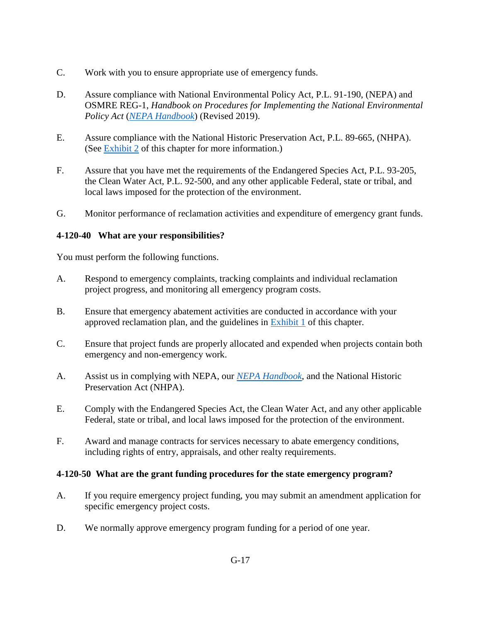- C. Work with you to ensure appropriate use of emergency funds.
- D. Assure compliance with National Environmental Policy Act, P.L. 91-190, (NEPA) and OSMRE REG-1, *Handbook on Procedures for Implementing the National Environmental Policy Act* (*[NEPA Handbook](https://www.osmre.gov/lrg/nepa.shtm)*) (Revised 2019).
- E. Assure compliance with the National Historic Preservation Act, P.L. 89-665, (NHPA). (See [Exhibit 2](#page-11-0) of this chapter for more information.)
- F. Assure that you have met the requirements of the Endangered Species Act, P.L. 93-205, the Clean Water Act, P.L. 92-500, and any other applicable Federal, state or tribal, and local laws imposed for the protection of the environment.
- G. Monitor performance of reclamation activities and expenditure of emergency grant funds.

#### <span id="page-2-0"></span>**4-120-40 What are your responsibilities?**

You must perform the following functions.

- A. Respond to emergency complaints, tracking complaints and individual reclamation project progress, and monitoring all emergency program costs.
- B. Ensure that emergency abatement activities are conducted in accordance with your approved reclamation plan, and the guidelines in [Exhibit 1](#page-8-0) of this chapter.
- C. Ensure that project funds are properly allocated and expended when projects contain both emergency and non-emergency work.
- A. Assist us in complying with NEPA, our *[NEPA Handbook](https://www.osmre.gov/lrg/nepa.shtm)*, and the National Historic Preservation Act (NHPA).
- E. Comply with the Endangered Species Act, the Clean Water Act, and any other applicable Federal, state or tribal, and local laws imposed for the protection of the environment.
- F. Award and manage contracts for services necessary to abate emergency conditions, including rights of entry, appraisals, and other realty requirements.

#### <span id="page-2-1"></span>**4-120-50 What are the grant funding procedures for the state emergency program?**

- A. If you require emergency project funding, you may submit an amendment application for specific emergency project costs.
- D. We normally approve emergency program funding for a period of one year.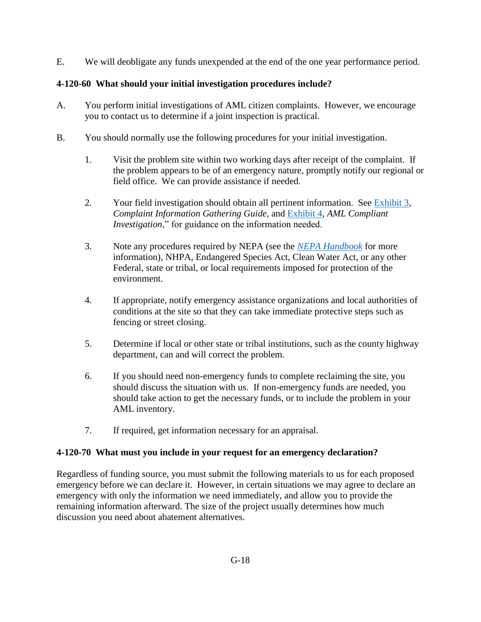E. We will deobligate any funds unexpended at the end of the one year performance period.

# <span id="page-3-0"></span>**4-120-60 What should your initial investigation procedures include?**

- A. You perform initial investigations of AML citizen complaints. However, we encourage you to contact us to determine if a joint inspection is practical.
- B. You should normally use the following procedures for your initial investigation.
	- 1. Visit the problem site within two working days after receipt of the complaint. If the problem appears to be of an emergency nature, promptly notify our regional or field office. We can provide assistance if needed.
	- 2. Your field investigation should obtain all pertinent information. See [Exhibit 3,](#page-14-0) *Complaint Information Gathering Guide*, and [Exhibit 4,](#page-15-0) *AML Compliant Investigation*," for guidance on the information needed.
	- 3. Note any procedures required by NEPA (see the *[NEPA Handbook](https://www.osmre.gov/lrg/nepa.shtm)* for more information), NHPA, Endangered Species Act, Clean Water Act, or any other Federal, state or tribal, or local requirements imposed for protection of the environment.
	- 4. If appropriate, notify emergency assistance organizations and local authorities of conditions at the site so that they can take immediate protective steps such as fencing or street closing.
	- 5. Determine if local or other state or tribal institutions, such as the county highway department, can and will correct the problem.
	- 6. If you should need non-emergency funds to complete reclaiming the site, you should discuss the situation with us. If non-emergency funds are needed, you should take action to get the necessary funds, or to include the problem in your AML inventory.
	- 7. If required, get information necessary for an appraisal.

# <span id="page-3-1"></span>**4-120-70 What must you include in your request for an emergency declaration?**

Regardless of funding source, you must submit the following materials to us for each proposed emergency before we can declare it. However, in certain situations we may agree to declare an emergency with only the information we need immediately, and allow you to provide the remaining information afterward. The size of the project usually determines how much discussion you need about abatement alternatives.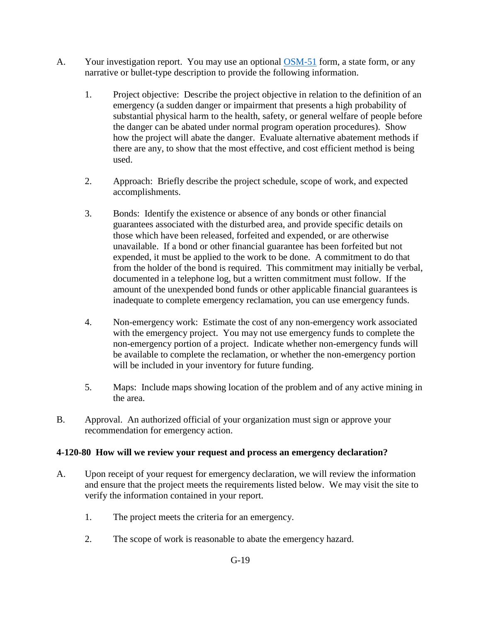- A. Your investigation report. You may use an optional [OSM-51](http://www.osmre.gov/resources/forms/OSM51.pdf) form, a state form, or any narrative or bullet-type description to provide the following information.
	- 1. Project objective: Describe the project objective in relation to the definition of an emergency (a sudden danger or impairment that presents a high probability of substantial physical harm to the health, safety, or general welfare of people before the danger can be abated under normal program operation procedures). Show how the project will abate the danger. Evaluate alternative abatement methods if there are any, to show that the most effective, and cost efficient method is being used.
	- 2. Approach: Briefly describe the project schedule, scope of work, and expected accomplishments.
	- 3. Bonds: Identify the existence or absence of any bonds or other financial guarantees associated with the disturbed area, and provide specific details on those which have been released, forfeited and expended, or are otherwise unavailable. If a bond or other financial guarantee has been forfeited but not expended, it must be applied to the work to be done. A commitment to do that from the holder of the bond is required. This commitment may initially be verbal, documented in a telephone log, but a written commitment must follow. If the amount of the unexpended bond funds or other applicable financial guarantees is inadequate to complete emergency reclamation, you can use emergency funds.
	- 4. Non-emergency work: Estimate the cost of any non-emergency work associated with the emergency project. You may not use emergency funds to complete the non-emergency portion of a project. Indicate whether non-emergency funds will be available to complete the reclamation, or whether the non-emergency portion will be included in your inventory for future funding.
	- 5. Maps: Include maps showing location of the problem and of any active mining in the area.
- B. Approval. An authorized official of your organization must sign or approve your recommendation for emergency action.

### **4-120-80 How will we review your request and process an emergency declaration?**

- A. Upon receipt of your request for emergency declaration, we will review the information and ensure that the project meets the requirements listed below. We may visit the site to verify the information contained in your report.
	- 1. The project meets the criteria for an emergency.
	- 2. The scope of work is reasonable to abate the emergency hazard.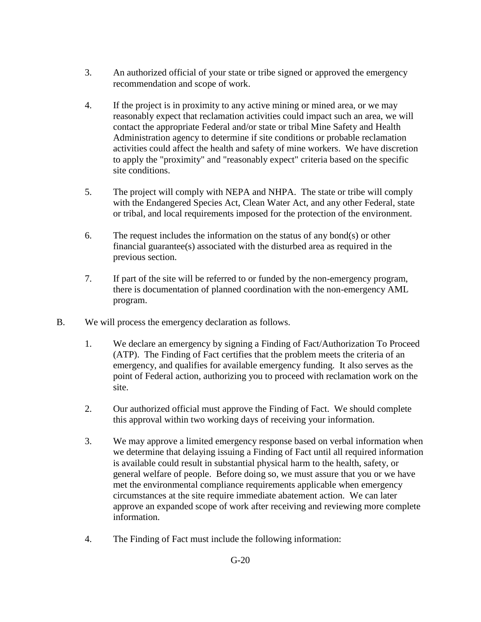- 3. An authorized official of your state or tribe signed or approved the emergency recommendation and scope of work.
- 4. If the project is in proximity to any active mining or mined area, or we may reasonably expect that reclamation activities could impact such an area, we will contact the appropriate Federal and/or state or tribal Mine Safety and Health Administration agency to determine if site conditions or probable reclamation activities could affect the health and safety of mine workers. We have discretion to apply the "proximity" and "reasonably expect" criteria based on the specific site conditions.
- 5. The project will comply with NEPA and NHPA. The state or tribe will comply with the Endangered Species Act, Clean Water Act, and any other Federal, state or tribal, and local requirements imposed for the protection of the environment.
- 6. The request includes the information on the status of any bond(s) or other financial guarantee(s) associated with the disturbed area as required in the previous section.
- 7. If part of the site will be referred to or funded by the non-emergency program, there is documentation of planned coordination with the non-emergency AML program.
- B. We will process the emergency declaration as follows.
	- 1. We declare an emergency by signing a Finding of Fact/Authorization To Proceed (ATP). The Finding of Fact certifies that the problem meets the criteria of an emergency, and qualifies for available emergency funding. It also serves as the point of Federal action, authorizing you to proceed with reclamation work on the site.
	- 2. Our authorized official must approve the Finding of Fact. We should complete this approval within two working days of receiving your information.
	- 3. We may approve a limited emergency response based on verbal information when we determine that delaying issuing a Finding of Fact until all required information is available could result in substantial physical harm to the health, safety, or general welfare of people. Before doing so, we must assure that you or we have met the environmental compliance requirements applicable when emergency circumstances at the site require immediate abatement action. We can later approve an expanded scope of work after receiving and reviewing more complete information.
	- 4. The Finding of Fact must include the following information: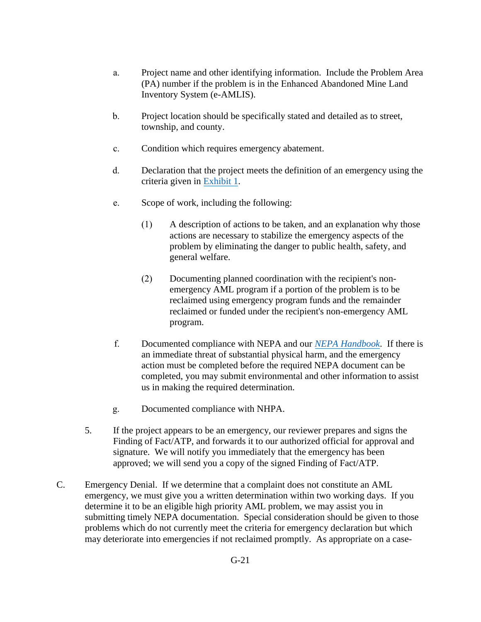- a. Project name and other identifying information. Include the Problem Area (PA) number if the problem is in the Enhanced Abandoned Mine Land Inventory System (e-AMLIS).
- b. Project location should be specifically stated and detailed as to street, township, and county.
- c. Condition which requires emergency abatement.
- d. Declaration that the project meets the definition of an emergency using the criteria given in [Exhibit 1.](#page-8-0)
- e. Scope of work, including the following:
	- (1) A description of actions to be taken, and an explanation why those actions are necessary to stabilize the emergency aspects of the problem by eliminating the danger to public health, safety, and general welfare.
	- (2) Documenting planned coordination with the recipient's nonemergency AML program if a portion of the problem is to be reclaimed using emergency program funds and the remainder reclaimed or funded under the recipient's non-emergency AML program.
- f. Documented compliance with NEPA and our *[NEPA Handbook](https://www.osmre.gov/lrg/nepa.shtm)*. If there is an immediate threat of substantial physical harm, and the emergency action must be completed before the required NEPA document can be completed, you may submit environmental and other information to assist us in making the required determination.
- g. Documented compliance with NHPA.
- 5. If the project appears to be an emergency, our reviewer prepares and signs the Finding of Fact/ATP, and forwards it to our authorized official for approval and signature. We will notify you immediately that the emergency has been approved; we will send you a copy of the signed Finding of Fact/ATP.
- C. Emergency Denial. If we determine that a complaint does not constitute an AML emergency, we must give you a written determination within two working days. If you determine it to be an eligible high priority AML problem, we may assist you in submitting timely NEPA documentation. Special consideration should be given to those problems which do not currently meet the criteria for emergency declaration but which may deteriorate into emergencies if not reclaimed promptly. As appropriate on a case-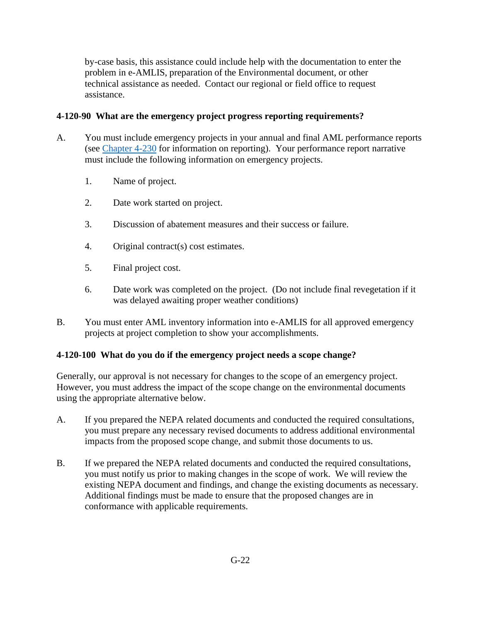by-case basis, this assistance could include help with the documentation to enter the problem in e-AMLIS, preparation of the Environmental document, or other technical assistance as needed. Contact our regional or field office to request assistance.

## <span id="page-7-0"></span>**4-120-90 What are the emergency project progress reporting requirements?**

- A. You must include emergency projects in your annual and final AML performance reports (see [Chapter 4-230](https://www.osmre.gov/lrg/fam/4-230.pdf) for information on reporting). Your performance report narrative must include the following information on emergency projects.
	- 1. Name of project.
	- 2. Date work started on project.
	- 3. Discussion of abatement measures and their success or failure.
	- 4. Original contract(s) cost estimates.
	- 5. Final project cost.
	- 6. Date work was completed on the project. (Do not include final revegetation if it was delayed awaiting proper weather conditions)
- B. You must enter AML inventory information into e-AMLIS for all approved emergency projects at project completion to show your accomplishments.

### <span id="page-7-1"></span>**4-120-100 What do you do if the emergency project needs a scope change?**

Generally, our approval is not necessary for changes to the scope of an emergency project. However, you must address the impact of the scope change on the environmental documents using the appropriate alternative below.

- A. If you prepared the NEPA related documents and conducted the required consultations, you must prepare any necessary revised documents to address additional environmental impacts from the proposed scope change, and submit those documents to us.
- B. If we prepared the NEPA related documents and conducted the required consultations, you must notify us prior to making changes in the scope of work. We will review the existing NEPA document and findings, and change the existing documents as necessary. Additional findings must be made to ensure that the proposed changes are in conformance with applicable requirements.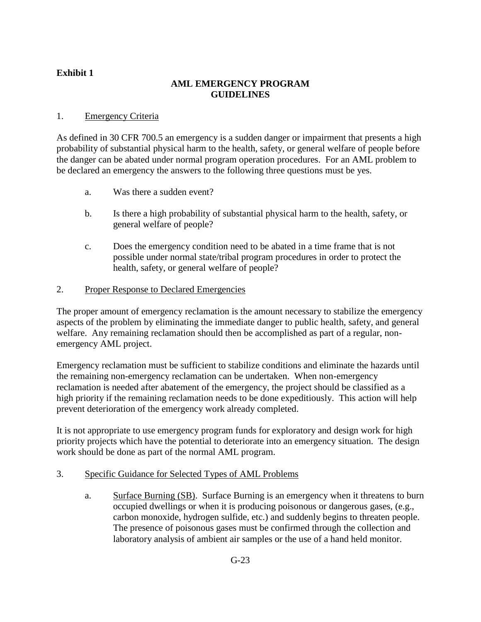### **AML EMERGENCY PROGRAM GUIDELINES**

### <span id="page-8-0"></span>1. Emergency Criteria

As defined in 30 CFR 700.5 an emergency is a sudden danger or impairment that presents a high probability of substantial physical harm to the health, safety, or general welfare of people before the danger can be abated under normal program operation procedures. For an AML problem to be declared an emergency the answers to the following three questions must be yes.

- a. Was there a sudden event?
- b. Is there a high probability of substantial physical harm to the health, safety, or general welfare of people?
- c. Does the emergency condition need to be abated in a time frame that is not possible under normal state/tribal program procedures in order to protect the health, safety, or general welfare of people?

#### 2. Proper Response to Declared Emergencies

The proper amount of emergency reclamation is the amount necessary to stabilize the emergency aspects of the problem by eliminating the immediate danger to public health, safety, and general welfare. Any remaining reclamation should then be accomplished as part of a regular, nonemergency AML project.

Emergency reclamation must be sufficient to stabilize conditions and eliminate the hazards until the remaining non-emergency reclamation can be undertaken. When non-emergency reclamation is needed after abatement of the emergency, the project should be classified as a high priority if the remaining reclamation needs to be done expeditiously. This action will help prevent deterioration of the emergency work already completed.

It is not appropriate to use emergency program funds for exploratory and design work for high priority projects which have the potential to deteriorate into an emergency situation. The design work should be done as part of the normal AML program.

#### 3. Specific Guidance for Selected Types of AML Problems

a. Surface Burning (SB). Surface Burning is an emergency when it threatens to burn occupied dwellings or when it is producing poisonous or dangerous gases, (e.g., carbon monoxide, hydrogen sulfide, etc.) and suddenly begins to threaten people. The presence of poisonous gases must be confirmed through the collection and laboratory analysis of ambient air samples or the use of a hand held monitor.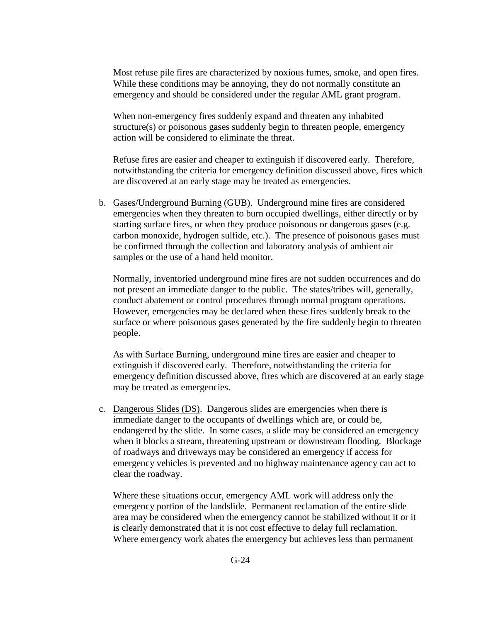Most refuse pile fires are characterized by noxious fumes, smoke, and open fires. While these conditions may be annoying, they do not normally constitute an emergency and should be considered under the regular AML grant program.

When non-emergency fires suddenly expand and threaten any inhabited structure(s) or poisonous gases suddenly begin to threaten people, emergency action will be considered to eliminate the threat.

Refuse fires are easier and cheaper to extinguish if discovered early. Therefore, notwithstanding the criteria for emergency definition discussed above, fires which are discovered at an early stage may be treated as emergencies.

b. Gases/Underground Burning (GUB). Underground mine fires are considered emergencies when they threaten to burn occupied dwellings, either directly or by starting surface fires, or when they produce poisonous or dangerous gases (e.g. carbon monoxide, hydrogen sulfide, etc.). The presence of poisonous gases must be confirmed through the collection and laboratory analysis of ambient air samples or the use of a hand held monitor.

Normally, inventoried underground mine fires are not sudden occurrences and do not present an immediate danger to the public. The states/tribes will, generally, conduct abatement or control procedures through normal program operations. However, emergencies may be declared when these fires suddenly break to the surface or where poisonous gases generated by the fire suddenly begin to threaten people.

As with Surface Burning, underground mine fires are easier and cheaper to extinguish if discovered early. Therefore, notwithstanding the criteria for emergency definition discussed above, fires which are discovered at an early stage may be treated as emergencies.

c. Dangerous Slides (DS). Dangerous slides are emergencies when there is immediate danger to the occupants of dwellings which are, or could be, endangered by the slide. In some cases, a slide may be considered an emergency when it blocks a stream, threatening upstream or downstream flooding. Blockage of roadways and driveways may be considered an emergency if access for emergency vehicles is prevented and no highway maintenance agency can act to clear the roadway.

Where these situations occur, emergency AML work will address only the emergency portion of the landslide. Permanent reclamation of the entire slide area may be considered when the emergency cannot be stabilized without it or it is clearly demonstrated that it is not cost effective to delay full reclamation. Where emergency work abates the emergency but achieves less than permanent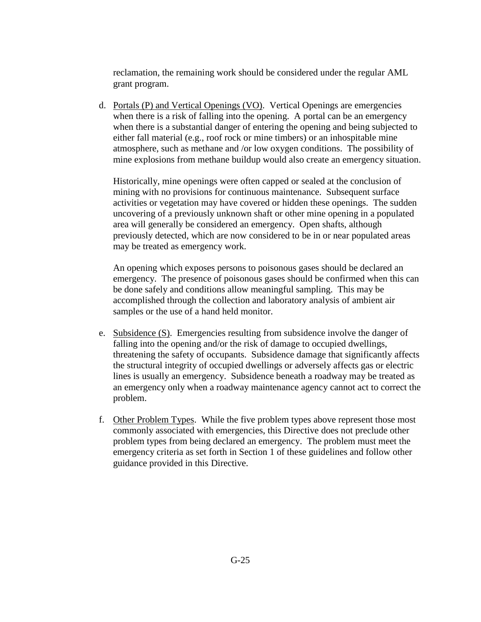reclamation, the remaining work should be considered under the regular AML grant program.

d. Portals (P) and Vertical Openings (VO). Vertical Openings are emergencies when there is a risk of falling into the opening. A portal can be an emergency when there is a substantial danger of entering the opening and being subjected to either fall material (e.g., roof rock or mine timbers) or an inhospitable mine atmosphere, such as methane and /or low oxygen conditions. The possibility of mine explosions from methane buildup would also create an emergency situation.

Historically, mine openings were often capped or sealed at the conclusion of mining with no provisions for continuous maintenance. Subsequent surface activities or vegetation may have covered or hidden these openings. The sudden uncovering of a previously unknown shaft or other mine opening in a populated area will generally be considered an emergency. Open shafts, although previously detected, which are now considered to be in or near populated areas may be treated as emergency work.

An opening which exposes persons to poisonous gases should be declared an emergency. The presence of poisonous gases should be confirmed when this can be done safely and conditions allow meaningful sampling. This may be accomplished through the collection and laboratory analysis of ambient air samples or the use of a hand held monitor.

- e. Subsidence (S). Emergencies resulting from subsidence involve the danger of falling into the opening and/or the risk of damage to occupied dwellings, threatening the safety of occupants. Subsidence damage that significantly affects the structural integrity of occupied dwellings or adversely affects gas or electric lines is usually an emergency. Subsidence beneath a roadway may be treated as an emergency only when a roadway maintenance agency cannot act to correct the problem.
- f. Other Problem Types. While the five problem types above represent those most commonly associated with emergencies, this Directive does not preclude other problem types from being declared an emergency. The problem must meet the emergency criteria as set forth in Section 1 of these guidelines and follow other guidance provided in this Directive.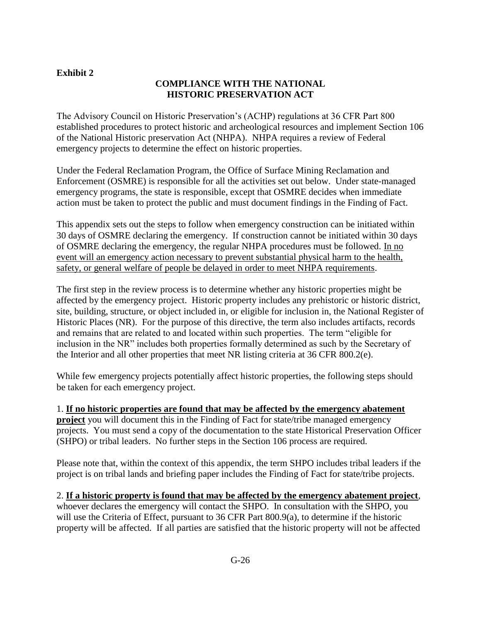## **COMPLIANCE WITH THE NATIONAL HISTORIC PRESERVATION ACT**

<span id="page-11-0"></span>The Advisory Council on Historic Preservation's (ACHP) regulations at 36 CFR Part 800 established procedures to protect historic and archeological resources and implement Section 106 of the National Historic preservation Act (NHPA). NHPA requires a review of Federal emergency projects to determine the effect on historic properties.

Under the Federal Reclamation Program, the Office of Surface Mining Reclamation and Enforcement (OSMRE) is responsible for all the activities set out below. Under state-managed emergency programs, the state is responsible, except that OSMRE decides when immediate action must be taken to protect the public and must document findings in the Finding of Fact.

This appendix sets out the steps to follow when emergency construction can be initiated within 30 days of OSMRE declaring the emergency. If construction cannot be initiated within 30 days of OSMRE declaring the emergency, the regular NHPA procedures must be followed. In no event will an emergency action necessary to prevent substantial physical harm to the health, safety, or general welfare of people be delayed in order to meet NHPA requirements.

The first step in the review process is to determine whether any historic properties might be affected by the emergency project. Historic property includes any prehistoric or historic district, site, building, structure, or object included in, or eligible for inclusion in, the National Register of Historic Places (NR). For the purpose of this directive, the term also includes artifacts, records and remains that are related to and located within such properties. The term "eligible for inclusion in the NR" includes both properties formally determined as such by the Secretary of the Interior and all other properties that meet NR listing criteria at 36 CFR 800.2(e).

While few emergency projects potentially affect historic properties, the following steps should be taken for each emergency project.

1. **If no historic properties are found that may be affected by the emergency abatement project** you will document this in the Finding of Fact for state/tribe managed emergency projects. You must send a copy of the documentation to the state Historical Preservation Officer (SHPO) or tribal leaders. No further steps in the Section 106 process are required.

Please note that, within the context of this appendix, the term SHPO includes tribal leaders if the project is on tribal lands and briefing paper includes the Finding of Fact for state/tribe projects.

2. **If a historic property is found that may be affected by the emergency abatement project**, whoever declares the emergency will contact the SHPO. In consultation with the SHPO, you will use the Criteria of Effect, pursuant to 36 CFR Part 800.9(a), to determine if the historic property will be affected. If all parties are satisfied that the historic property will not be affected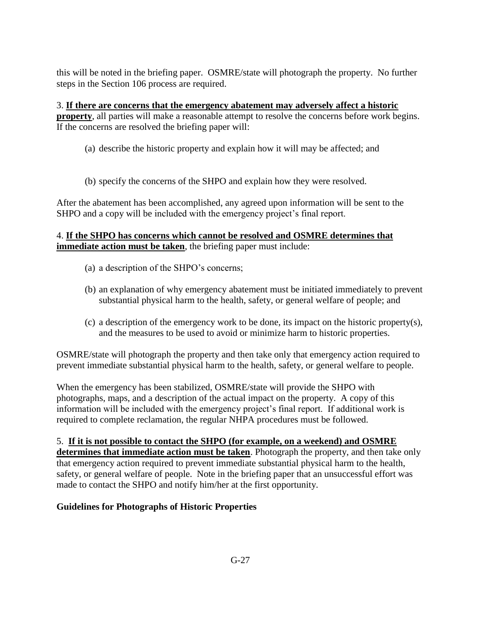this will be noted in the briefing paper. OSMRE/state will photograph the property. No further steps in the Section 106 process are required.

3. **If there are concerns that the emergency abatement may adversely affect a historic property**, all parties will make a reasonable attempt to resolve the concerns before work begins. If the concerns are resolved the briefing paper will:

- (a) describe the historic property and explain how it will may be affected; and
- (b) specify the concerns of the SHPO and explain how they were resolved.

After the abatement has been accomplished, any agreed upon information will be sent to the SHPO and a copy will be included with the emergency project's final report.

## 4. **If the SHPO has concerns which cannot be resolved and OSMRE determines that immediate action must be taken**, the briefing paper must include:

- (a) a description of the SHPO's concerns;
- (b) an explanation of why emergency abatement must be initiated immediately to prevent substantial physical harm to the health, safety, or general welfare of people; and
- (c) a description of the emergency work to be done, its impact on the historic property(s), and the measures to be used to avoid or minimize harm to historic properties.

OSMRE/state will photograph the property and then take only that emergency action required to prevent immediate substantial physical harm to the health, safety, or general welfare to people.

When the emergency has been stabilized, OSMRE/state will provide the SHPO with photographs, maps, and a description of the actual impact on the property. A copy of this information will be included with the emergency project's final report. If additional work is required to complete reclamation, the regular NHPA procedures must be followed.

# 5. **If it is not possible to contact the SHPO (for example, on a weekend) and OSMRE**

**determines that immediate action must be taken**. Photograph the property, and then take only that emergency action required to prevent immediate substantial physical harm to the health, safety, or general welfare of people. Note in the briefing paper that an unsuccessful effort was made to contact the SHPO and notify him/her at the first opportunity.

# **Guidelines for Photographs of Historic Properties**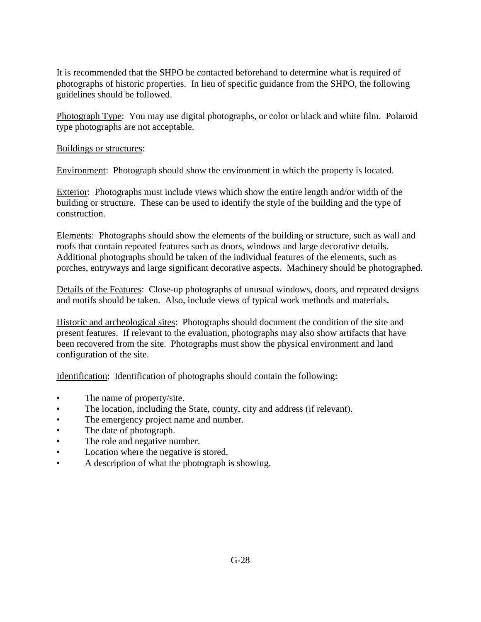It is recommended that the SHPO be contacted beforehand to determine what is required of photographs of historic properties. In lieu of specific guidance from the SHPO, the following guidelines should be followed.

Photograph Type: You may use digital photographs, or color or black and white film. Polaroid type photographs are not acceptable.

#### Buildings or structures:

Environment: Photograph should show the environment in which the property is located.

Exterior: Photographs must include views which show the entire length and/or width of the building or structure. These can be used to identify the style of the building and the type of construction.

Elements: Photographs should show the elements of the building or structure, such as wall and roofs that contain repeated features such as doors, windows and large decorative details. Additional photographs should be taken of the individual features of the elements, such as porches, entryways and large significant decorative aspects. Machinery should be photographed.

Details of the Features: Close-up photographs of unusual windows, doors, and repeated designs and motifs should be taken. Also, include views of typical work methods and materials.

Historic and archeological sites: Photographs should document the condition of the site and present features. If relevant to the evaluation, photographs may also show artifacts that have been recovered from the site. Photographs must show the physical environment and land configuration of the site.

Identification: Identification of photographs should contain the following:

- The name of property/site.
- The location, including the State, county, city and address (if relevant).
- The emergency project name and number.
- The date of photograph.
- The role and negative number.
- Location where the negative is stored.
- A description of what the photograph is showing.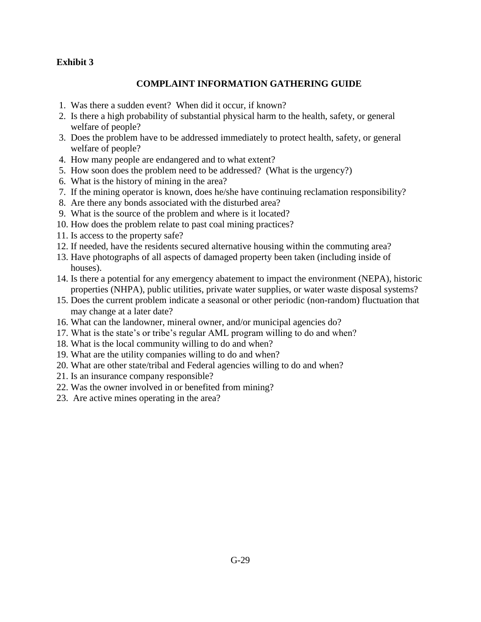## **COMPLAINT INFORMATION GATHERING GUIDE**

- <span id="page-14-0"></span>1. Was there a sudden event? When did it occur, if known?
- 2. Is there a high probability of substantial physical harm to the health, safety, or general welfare of people?
- 3. Does the problem have to be addressed immediately to protect health, safety, or general welfare of people?
- 4. How many people are endangered and to what extent?
- 5. How soon does the problem need to be addressed? (What is the urgency?)
- 6. What is the history of mining in the area?
- 7. If the mining operator is known, does he/she have continuing reclamation responsibility?
- 8. Are there any bonds associated with the disturbed area?
- 9. What is the source of the problem and where is it located?
- 10. How does the problem relate to past coal mining practices?
- 11. Is access to the property safe?
- 12. If needed, have the residents secured alternative housing within the commuting area?
- 13. Have photographs of all aspects of damaged property been taken (including inside of houses).
- 14. Is there a potential for any emergency abatement to impact the environment (NEPA), historic properties (NHPA), public utilities, private water supplies, or water waste disposal systems?
- 15. Does the current problem indicate a seasonal or other periodic (non-random) fluctuation that may change at a later date?
- 16. What can the landowner, mineral owner, and/or municipal agencies do?
- 17. What is the state's or tribe's regular AML program willing to do and when?
- 18. What is the local community willing to do and when?
- 19. What are the utility companies willing to do and when?
- 20. What are other state/tribal and Federal agencies willing to do and when?
- 21. Is an insurance company responsible?
- 22. Was the owner involved in or benefited from mining?
- 23. Are active mines operating in the area?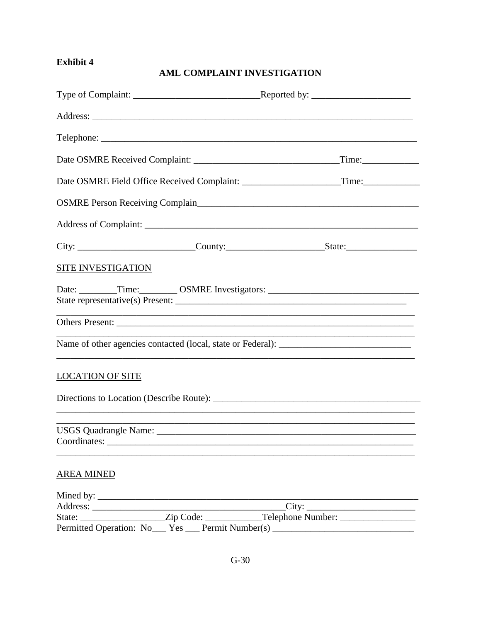## AML COMPLAINT INVESTIGATION

<span id="page-15-0"></span>

| <b>SITE INVESTIGATION</b>                                                               |                |
|-----------------------------------------------------------------------------------------|----------------|
| Date: ________Time: _________ OSMRE Investigators: ______________________________       |                |
|                                                                                         |                |
|                                                                                         |                |
|                                                                                         |                |
| <b>LOCATION OF SITE</b>                                                                 |                |
|                                                                                         |                |
|                                                                                         |                |
|                                                                                         |                |
| <b>AREA MINED</b>                                                                       |                |
|                                                                                         |                |
|                                                                                         | $\text{City:}$ |
| State: _____________________Zip Code: ______________Telephone Number: _________________ |                |
| Permitted Operation: No___ Yes ___ Permit Number(s) ____________________________        |                |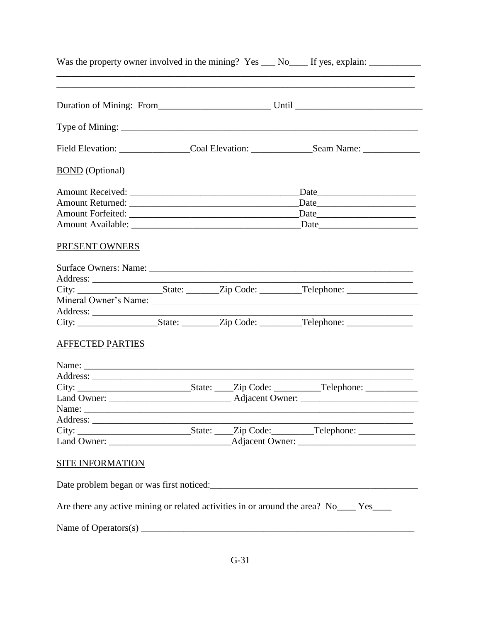| Was the property owner involved in the mining? Yes ___ No____ If yes, explain: _____________________                  |  |
|-----------------------------------------------------------------------------------------------------------------------|--|
|                                                                                                                       |  |
|                                                                                                                       |  |
| Field Elevation: __________________Coal Elevation: ________________Seam Name: _____________________                   |  |
| <b>BOND</b> (Optional)                                                                                                |  |
|                                                                                                                       |  |
|                                                                                                                       |  |
|                                                                                                                       |  |
|                                                                                                                       |  |
| <b>PRESENT OWNERS</b>                                                                                                 |  |
|                                                                                                                       |  |
|                                                                                                                       |  |
|                                                                                                                       |  |
| Mineral Owner's Name:                                                                                                 |  |
|                                                                                                                       |  |
| <b>AFFECTED PARTIES</b>                                                                                               |  |
|                                                                                                                       |  |
|                                                                                                                       |  |
|                                                                                                                       |  |
|                                                                                                                       |  |
|                                                                                                                       |  |
|                                                                                                                       |  |
|                                                                                                                       |  |
|                                                                                                                       |  |
| <b>SITE INFORMATION</b>                                                                                               |  |
| Date problem began or was first noticed:<br><u>Letter and the contract of the problem</u> began or was first noticed: |  |
| Are there any active mining or related activities in or around the area? No____ Yes____                               |  |
|                                                                                                                       |  |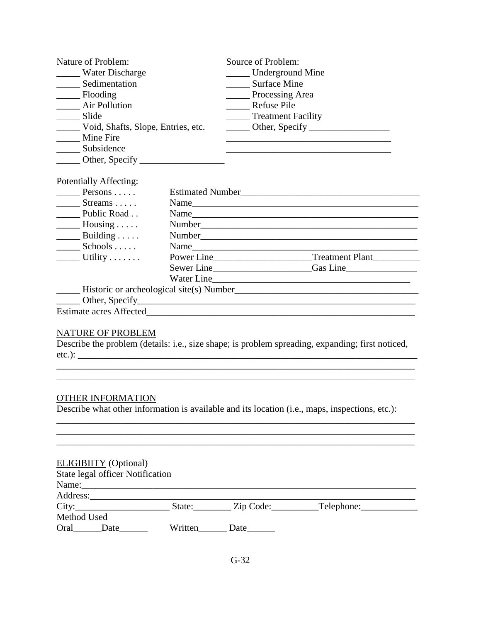| Nature of Problem:                                                                                                                                                                                                                                                                                                                                                                                                                |  | Source of Problem:                                                                                                                                                                                                                     |
|-----------------------------------------------------------------------------------------------------------------------------------------------------------------------------------------------------------------------------------------------------------------------------------------------------------------------------------------------------------------------------------------------------------------------------------|--|----------------------------------------------------------------------------------------------------------------------------------------------------------------------------------------------------------------------------------------|
| Water Discharge                                                                                                                                                                                                                                                                                                                                                                                                                   |  | Underground Mine                                                                                                                                                                                                                       |
| _____ Sedimentation                                                                                                                                                                                                                                                                                                                                                                                                               |  | Surface Mine                                                                                                                                                                                                                           |
| Flooding                                                                                                                                                                                                                                                                                                                                                                                                                          |  | Processing Area                                                                                                                                                                                                                        |
| ____ Air Pollution                                                                                                                                                                                                                                                                                                                                                                                                                |  | _____ Refuse Pile                                                                                                                                                                                                                      |
| ______ Slide                                                                                                                                                                                                                                                                                                                                                                                                                      |  | Treatment Facility                                                                                                                                                                                                                     |
| Void, Shafts, Slope, Entries, etc.                                                                                                                                                                                                                                                                                                                                                                                                |  | $\frac{1}{2}$ Other, Specify $\frac{1}{2}$                                                                                                                                                                                             |
| _____ Mine Fire                                                                                                                                                                                                                                                                                                                                                                                                                   |  |                                                                                                                                                                                                                                        |
| ______ Subsidence                                                                                                                                                                                                                                                                                                                                                                                                                 |  |                                                                                                                                                                                                                                        |
| $\frac{1}{2}$ Other, Specify $\frac{1}{2}$                                                                                                                                                                                                                                                                                                                                                                                        |  |                                                                                                                                                                                                                                        |
| Potentially Affecting:<br>Persons $\ldots$ .<br>$Streams \ldots$ .                                                                                                                                                                                                                                                                                                                                                                |  | Name                                                                                                                                                                                                                                   |
| Public Road                                                                                                                                                                                                                                                                                                                                                                                                                       |  |                                                                                                                                                                                                                                        |
| $\_\_\_\_\$ Housing                                                                                                                                                                                                                                                                                                                                                                                                               |  |                                                                                                                                                                                                                                        |
| $\frac{1}{\sqrt{1-\frac{1}{2}}}\frac{1}{\sqrt{1-\frac{1}{2}}}\frac{1}{\sqrt{1-\frac{1}{2}}}\frac{1}{\sqrt{1-\frac{1}{2}}}\frac{1}{\sqrt{1-\frac{1}{2}}}\frac{1}{\sqrt{1-\frac{1}{2}}}\frac{1}{\sqrt{1-\frac{1}{2}}}\frac{1}{\sqrt{1-\frac{1}{2}}}\frac{1}{\sqrt{1-\frac{1}{2}}}\frac{1}{\sqrt{1-\frac{1}{2}}}\frac{1}{\sqrt{1-\frac{1}{2}}}\frac{1}{\sqrt{1-\frac{1}{2}}}\frac{1}{\sqrt{1-\frac{1}{2}}}\frac{1}{\sqrt{1-\frac{$   |  |                                                                                                                                                                                                                                        |
| $Schools \ldots$                                                                                                                                                                                                                                                                                                                                                                                                                  |  |                                                                                                                                                                                                                                        |
| $\frac{1}{\sqrt{1-\frac{1}{\sqrt{1-\frac{1}{\sqrt{1-\frac{1}{\sqrt{1-\frac{1}{\sqrt{1-\frac{1}{\sqrt{1-\frac{1}{\sqrt{1-\frac{1}{\sqrt{1-\frac{1}{\sqrt{1-\frac{1}{\sqrt{1-\frac{1}{\sqrt{1-\frac{1}{\sqrt{1-\frac{1}{\sqrt{1-\frac{1}{\sqrt{1-\frac{1}{\sqrt{1-\frac{1}{\sqrt{1-\frac{1}{\sqrt{1-\frac{1}{\sqrt{1-\frac{1}{\sqrt{1-\frac{1}{\sqrt{1-\frac{1}{\sqrt{1-\frac{1}{\sqrt{1-\frac{1}{\sqrt{1-\frac{1}{\sqrt{1-\frac{1$ |  |                                                                                                                                                                                                                                        |
|                                                                                                                                                                                                                                                                                                                                                                                                                                   |  |                                                                                                                                                                                                                                        |
|                                                                                                                                                                                                                                                                                                                                                                                                                                   |  |                                                                                                                                                                                                                                        |
|                                                                                                                                                                                                                                                                                                                                                                                                                                   |  | Historic or archeological site(s) Number<br><u>Letter and the contract of the set of the set of the set of the set of the set of the set of the set of the set of the set of the set of the set of the set of the set of the set o</u> |
|                                                                                                                                                                                                                                                                                                                                                                                                                                   |  |                                                                                                                                                                                                                                        |
|                                                                                                                                                                                                                                                                                                                                                                                                                                   |  |                                                                                                                                                                                                                                        |
| NATURE OF PROBLEM                                                                                                                                                                                                                                                                                                                                                                                                                 |  |                                                                                                                                                                                                                                        |
|                                                                                                                                                                                                                                                                                                                                                                                                                                   |  | Describe the problem (details: i.e., size shape; is problem spreading, expanding; first noticed,                                                                                                                                       |
|                                                                                                                                                                                                                                                                                                                                                                                                                                   |  |                                                                                                                                                                                                                                        |
|                                                                                                                                                                                                                                                                                                                                                                                                                                   |  |                                                                                                                                                                                                                                        |

### OTHER INFORMATION

Describe what other information is available and its location (i.e., maps, inspections, etc.):

\_\_\_\_\_\_\_\_\_\_\_\_\_\_\_\_\_\_\_\_\_\_\_\_\_\_\_\_\_\_\_\_\_\_\_\_\_\_\_\_\_\_\_\_\_\_\_\_\_\_\_\_\_\_\_\_\_\_\_\_\_\_\_\_\_\_\_\_\_\_\_\_\_\_\_\_

\_\_\_\_\_\_\_\_\_\_\_\_\_\_\_\_\_\_\_\_\_\_\_\_\_\_\_\_\_\_\_\_\_\_\_\_\_\_\_\_\_\_\_\_\_\_\_\_\_\_\_\_\_\_\_\_\_\_\_\_\_\_\_\_\_\_\_\_\_\_\_\_\_\_\_\_ \_\_\_\_\_\_\_\_\_\_\_\_\_\_\_\_\_\_\_\_\_\_\_\_\_\_\_\_\_\_\_\_\_\_\_\_\_\_\_\_\_\_\_\_\_\_\_\_\_\_\_\_\_\_\_\_\_\_\_\_\_\_\_\_\_\_\_\_\_\_\_\_\_\_\_\_ \_\_\_\_\_\_\_\_\_\_\_\_\_\_\_\_\_\_\_\_\_\_\_\_\_\_\_\_\_\_\_\_\_\_\_\_\_\_\_\_\_\_\_\_\_\_\_\_\_\_\_\_\_\_\_\_\_\_\_\_\_\_\_\_\_\_\_\_\_\_\_\_\_\_\_\_

| <b>ELIGIBIITY</b> (Optional) |  |
|------------------------------|--|
|------------------------------|--|

| <b>State legal officer Notification</b> |         |           |             |  |
|-----------------------------------------|---------|-----------|-------------|--|
| Name:                                   |         |           |             |  |
| Address:                                |         |           |             |  |
| City:                                   | State:  | Zip Code: | _Telephone: |  |
| Method Used                             |         |           |             |  |
| Oral<br>Date                            | Written | Date      |             |  |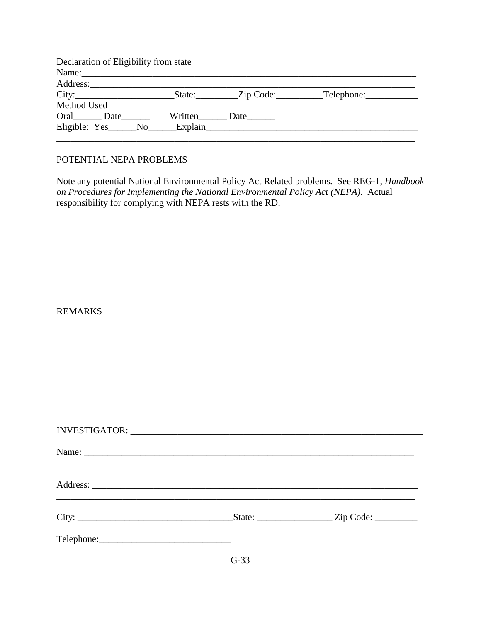| Declaration of Eligibility from state |              |  |
|---------------------------------------|--------------|--|
|                                       |              |  |
|                                       |              |  |
|                                       |              |  |
| Method Used                           |              |  |
| Oral Date                             | Written Date |  |
| Eligible: Yes No Explain              |              |  |
|                                       |              |  |

#### POTENTIAL NEPA PROBLEMS

Note any potential National Environmental Policy Act Related problems. See REG-1, *Handbook on Procedures for Implementing the National Environmental Policy Act (NEPA)*. Actual responsibility for complying with NEPA rests with the RD.

### REMARKS

| Name:      |                                                  |
|------------|--------------------------------------------------|
|            |                                                  |
| City:      | $\text{State:}$ $\qquad \qquad \text{Zip Code:}$ |
| Telephone: |                                                  |